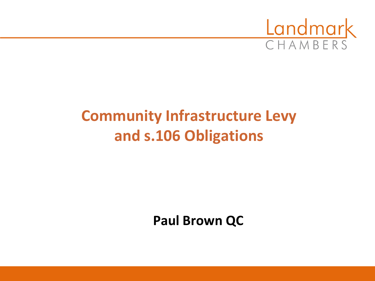

# **Community Infrastructure Levy and s.106 Obligations**

**Paul Brown QC**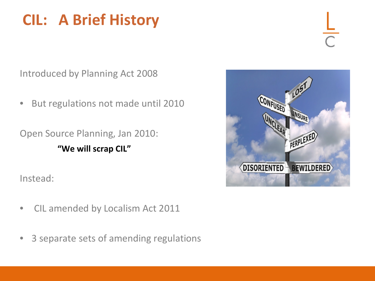# **CIL: A Brief History**

Introduced by Planning Act 2008

• But regulations not made until 2010

Open Source Planning, Jan 2010: **"We will scrap CIL"**

Instead:

CONFUSED UNSURF PERPLEXED DISORIENTED BEWILDERED

- CIL amended by Localism Act 2011
- 3 separate sets of amending regulations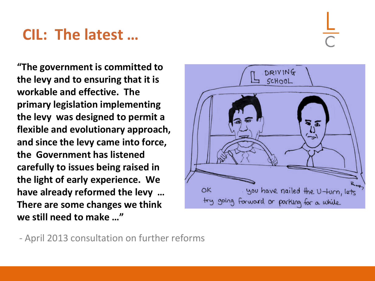## **CIL: The latest …**

**"The government is committed to the levy and to ensuring that it is workable and effective. The primary legislation implementing the levy was designed to permit a flexible and evolutionary approach, and since the levy came into force, the Government has listened carefully to issues being raised in the light of early experience. We have already reformed the levy … There are some changes we think we still need to make …"**

DRIVING SCHOOL ຈ ຂ you have nailed the U-turn, lets OK try going forward or parking for a while

- April 2013 consultation on further reforms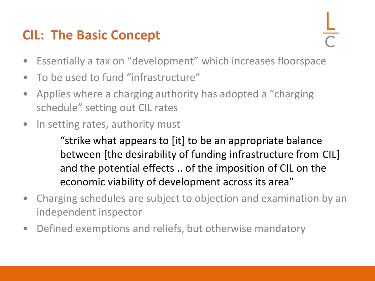### **CIL: The Basic Concept**

- Essentially a tax on "development" which increases floorspace
- To be used to fund "infrastructure"
- Applies where a charging authority has adopted a "charging schedule" setting out CIL rates
- In setting rates, authority must

"strike what appears to [it] to be an appropriate balance between [the desirability of funding infrastructure from CIL] and the potential effects .. of the imposition of CIL on the economic viability of development across its area"

- Charging schedules are subject to objection and examination by an independent inspector
- Defined exemptions and reliefs, but otherwise mandatory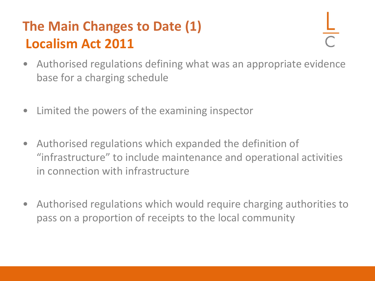## **The Main Changes to Date (1) Localism Act 2011**

- Authorised regulations defining what was an appropriate evidence base for a charging schedule
- Limited the powers of the examining inspector
- Authorised regulations which expanded the definition of "infrastructure" to include maintenance and operational activities in connection with infrastructure
- Authorised regulations which would require charging authorities to pass on a proportion of receipts to the local community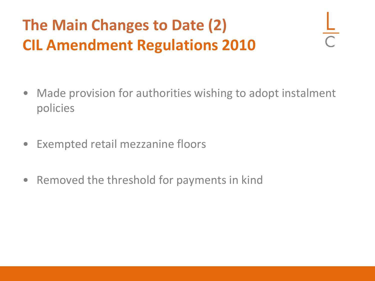# **The Main Changes to Date (2) CIL Amendment Regulations 2010**

- Made provision for authorities wishing to adopt instalment policies
- Exempted retail mezzanine floors
- Removed the threshold for payments in kind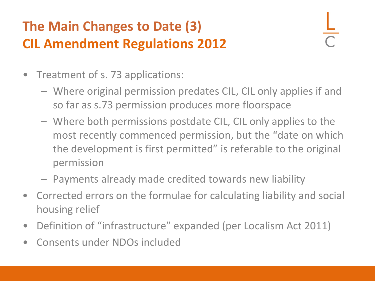### **The Main Changes to Date (3) CIL Amendment Regulations 2012**

- Treatment of s. 73 applications:
	- Where original permission predates CIL, CIL only applies if and so far as s.73 permission produces more floorspace
	- Where both permissions postdate CIL, CIL only applies to the most recently commenced permission, but the "date on which the development is first permitted" is referable to the original permission
	- Payments already made credited towards new liability
- Corrected errors on the formulae for calculating liability and social housing relief
- Definition of "infrastructure" expanded (per Localism Act 2011)
- Consents under NDOs included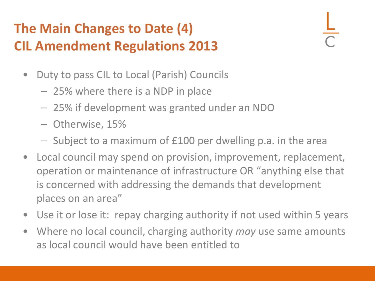### **The Main Changes to Date (4) CIL Amendment Regulations 2013**

- Duty to pass CIL to Local (Parish) Councils
	- 25% where there is a NDP in place
	- 25% if development was granted under an NDO
	- Otherwise, 15%
	- Subject to a maximum of £100 per dwelling p.a. in the area
- Local council may spend on provision, improvement, replacement, operation or maintenance of infrastructure OR "anything else that is concerned with addressing the demands that development places on an area"
- Use it or lose it: repay charging authority if not used within 5 years
- Where no local council, charging authority *may* use same amounts as local council would have been entitled to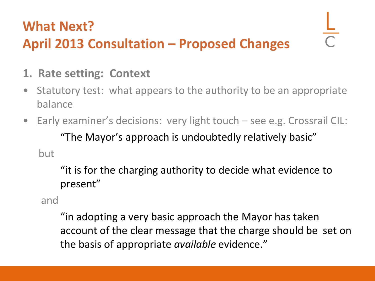# **What Next? April 2013 Consultation – Proposed Changes**

- **1. Rate setting: Context**
- Statutory test: what appears to the authority to be an appropriate balance
- Early examiner's decisions: very light touch see e.g. Crossrail CIL: "The Mayor's approach is undoubtedly relatively basic" but

"it is for the charging authority to decide what evidence to present"

and

"in adopting a very basic approach the Mayor has taken account of the clear message that the charge should be set on the basis of appropriate *available* evidence."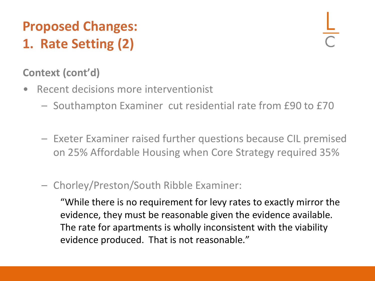## **Proposed Changes: 1. Rate Setting (2)**

### **Context (cont'd)**

- Recent decisions more interventionist
	- Southampton Examiner cut residential rate from £90 to £70
	- Exeter Examiner raised further questions because CIL premised on 25% Affordable Housing when Core Strategy required 35%
	- Chorley/Preston/South Ribble Examiner:

"While there is no requirement for levy rates to exactly mirror the evidence, they must be reasonable given the evidence available. The rate for apartments is wholly inconsistent with the viability evidence produced. That is not reasonable."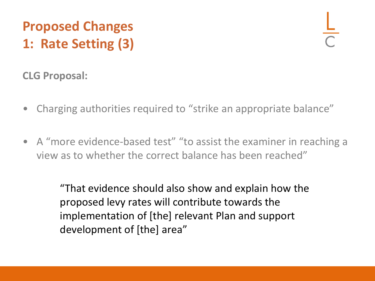## **Proposed Changes 1: Rate Setting (3)**

**CLG Proposal:**

- Charging authorities required to "strike an appropriate balance"
- A "more evidence-based test" "to assist the examiner in reaching a view as to whether the correct balance has been reached"

"That evidence should also show and explain how the proposed levy rates will contribute towards the implementation of [the] relevant Plan and support development of [the] area"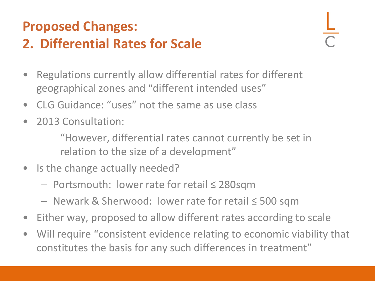# **Proposed Changes:**

### **2. Differential Rates for Scale**

- Regulations currently allow differential rates for different geographical zones and "different intended uses"
- CLG Guidance: "uses" not the same as use class
- 2013 Consultation:

"However, differential rates cannot currently be set in relation to the size of a development"

- Is the change actually needed?
	- Portsmouth: lower rate for retail ≤ 280sqm
	- Newark & Sherwood: lower rate for retail ≤ 500 sqm
- Either way, proposed to allow different rates according to scale
- Will require "consistent evidence relating to economic viability that constitutes the basis for any such differences in treatment"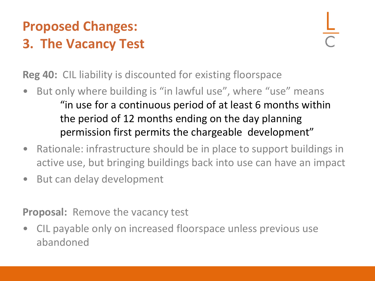### **Proposed Changes: 3. The Vacancy Test**

**Reg 40:** CIL liability is discounted for existing floorspace

- But only where building is "in lawful use", where "use" means "in use for a continuous period of at least 6 months within the period of 12 months ending on the day planning permission first permits the chargeable development"
- Rationale: infrastructure should be in place to support buildings in active use, but bringing buildings back into use can have an impact
- But can delay development

**Proposal:** Remove the vacancy test

• CIL payable only on increased floorspace unless previous use abandoned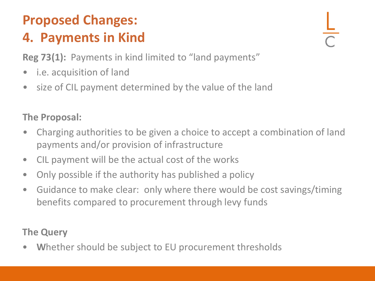### **Proposed Changes: 4. Payments in Kind**

**Reg 73(1):** Payments in kind limited to "land payments"

- *i.e.* acquisition of land
- size of CIL payment determined by the value of the land

### **The Proposal:**

- Charging authorities to be given a choice to accept a combination of land payments and/or provision of infrastructure
- CIL payment will be the actual cost of the works
- Only possible if the authority has published a policy
- Guidance to make clear: only where there would be cost savings/timing benefits compared to procurement through levy funds

### **The Query**

• **W**hether should be subject to EU procurement thresholds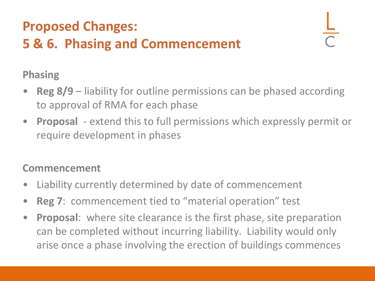### **Proposed Changes: 5 & 6. Phasing and Commencement**

**Phasing**

- **Reg 8/9** liability for outline permissions can be phased according to approval of RMA for each phase
- **Proposal**  extend this to full permissions which expressly permit or require development in phases

### **Commencement**

- Liability currently determined by date of commencement
- **Reg 7**: commencement tied to "material operation" test
- **Proposal**: where site clearance is the first phase, site preparation can be completed without incurring liability. Liability would only arise once a phase involving the erection of buildings commences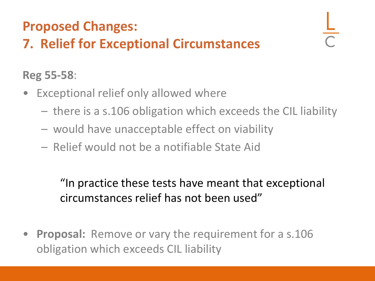### **Proposed Changes:**

## **7. Relief for Exceptional Circumstances**

### **Reg 55-58**:

- Exceptional relief only allowed where
	- there is a s.106 obligation which exceeds the CIL liability
	- would have unacceptable effect on viability
	- Relief would not be a notifiable State Aid

"In practice these tests have meant that exceptional circumstances relief has not been used"

• **Proposal:** Remove or vary the requirement for a s.106 obligation which exceeds CIL liability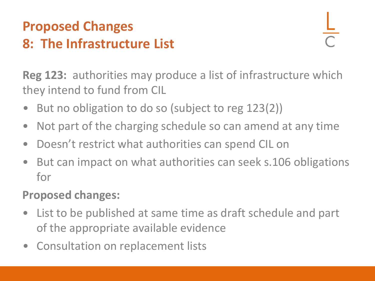### **Proposed Changes 8: The Infrastructure List**

**Reg 123:** authorities may produce a list of infrastructure which they intend to fund from CIL

- But no obligation to do so (subject to reg 123(2))
- Not part of the charging schedule so can amend at any time
- Doesn't restrict what authorities can spend CIL on
- But can impact on what authorities can seek s.106 obligations for

### **Proposed changes:**

- List to be published at same time as draft schedule and part of the appropriate available evidence
- Consultation on replacement lists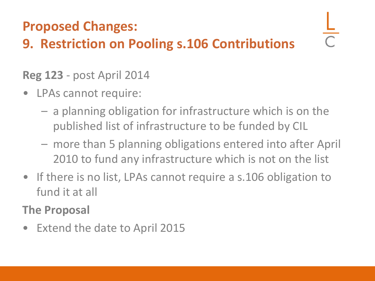### **Proposed Changes:**

### **9. Restriction on Pooling s.106 Contributions**

### **Reg 123** - post April 2014

- LPAs cannot require:
	- a planning obligation for infrastructure which is on the published list of infrastructure to be funded by CIL
	- more than 5 planning obligations entered into after April 2010 to fund any infrastructure which is not on the list
- If there is no list, LPAs cannot require a s.106 obligation to fund it at all

**The Proposal**

• Extend the date to April 2015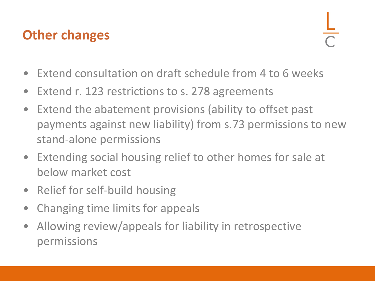### **Other changes**

- Extend consultation on draft schedule from 4 to 6 weeks
- Extend r. 123 restrictions to s. 278 agreements
- Extend the abatement provisions (ability to offset past payments against new liability) from s.73 permissions to new stand-alone permissions
- Extending social housing relief to other homes for sale at below market cost
- Relief for self-build housing
- Changing time limits for appeals
- Allowing review/appeals for liability in retrospective permissions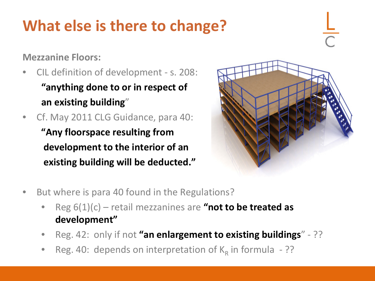# **What else is there to change?**

**Mezzanine Floors:**

- CIL definition of development s. 208: **"anything done to or in respect of an existing building**"
- Cf. May 2011 CLG Guidance, para 40: **"Any floorspace resulting from development to the interior of an existing building will be deducted."**



- But where is para 40 found in the Regulations?
	- Reg 6(1)(c) retail mezzanines are **"not to be treated as development"**
	- Reg. 42: only if not **"an enlargement to existing buildings**" ??
	- Reg. 40: depends on interpretation of  $K_R$  in formula ??